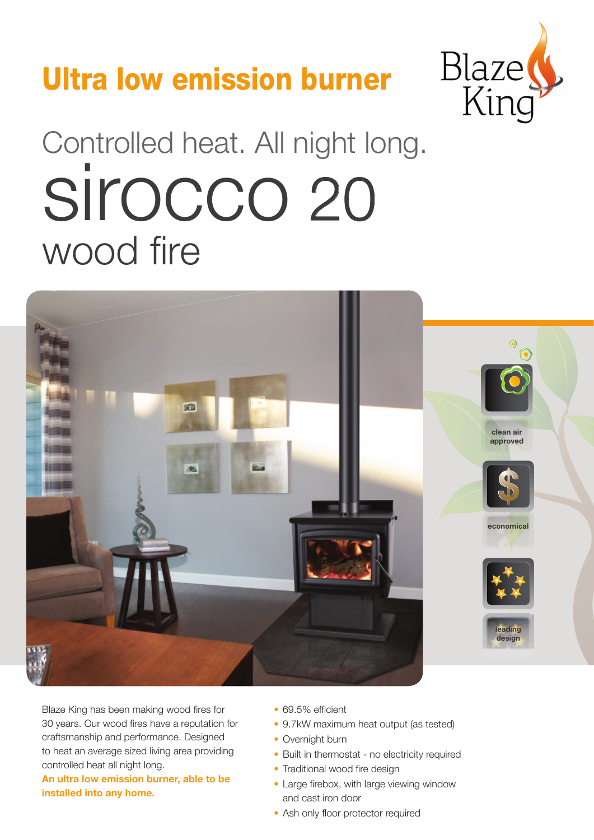## Ultra low emission burner



# Controlled heat. All night long. wood fire sirocco 20



Blaze King has been making wood fires for 30 years. Our wood fires have a reputation for craftsmanship and performance. Designed to heat an average sized living area providing controlled heat all night long.

**An ultra low emission burner, able to be installed into any home.**

- 69.5% efficient
- 9.7kW maximum heat output (as tested)
- Overnight burn
- Built in thermostat no electricity required
- Traditional wood fire design
- Large firebox, with large viewing window and cast iron door
- Ash only floor protector required